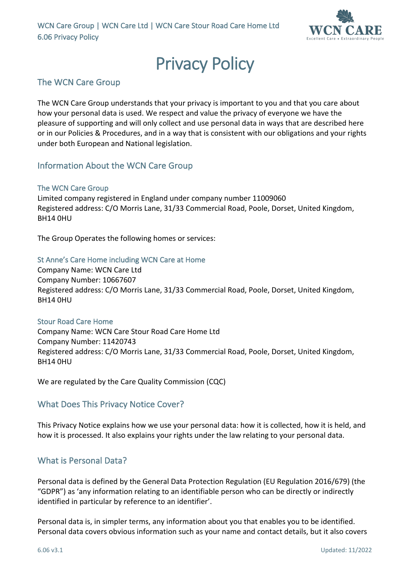

# **Privacy Policy**<br>The WCN Care Group

The WCN Care Group understands that your privacy is important to you and that you care about how your personal data is used. We respect and value the privacy of everyone we have the pleasure of supporting and will only collect and use personal data in ways that are described here or in our Policies & Procedures, and in a way that is consistent with our obligations and your rights under both European and National legislation.

#### Information About the WCN Care Group

#### The WCN Care Group

Limited company registered in England under company number 11009060 Registered address: C/O Morris Lane, 31/33 Commercial Road, Poole, Dorset, United Kingdom, BH14 0HU

The Group Operates the following homes or services:

#### St Anne's Care Home including WCN Care at Home

Company Name: WCN Care Ltd Company Number: 10667607 Registered address: C/O Morris Lane, 31/33 Commercial Road, Poole, Dorset, United Kingdom, BH14 0HU

#### Stour Road Care Home

Company Name: WCN Care Stour Road Care Home Ltd Company Number: 11420743 Registered address: C/O Morris Lane, 31/33 Commercial Road, Poole, Dorset, United Kingdom, BH14 0HU

We are regulated by the Care Quality Commission (CQC)

### What Does This Privacy Notice Cover?

This Privacy Notice explains how we use your personal data: how it is collected, how it is held, and how it is processed. It also explains your rights under the law relating to your personal data.

### What is Personal Data?

Personal data is defined by the General Data Protection Regulation (EU Regulation 2016/679) (the "GDPR") as 'any information relating to an identifiable person who can be directly or indirectly identified in particular by reference to an identifier'.

Personal data is, in simpler terms, any information about you that enables you to be identified. Personal data covers obvious information such as your name and contact details, but it also covers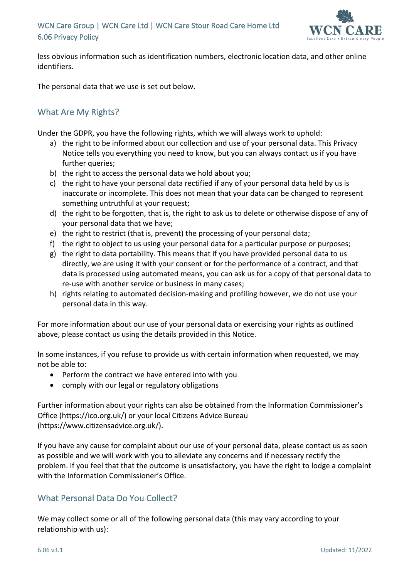### WCN Care Group | WCN Care Ltd | WCN Care Stour Road Care Home Ltd 6.06 Privacy Policy



less obvious information such as identification numbers, electronic location data, and other online identifiers.

The personal data that we use is set out below.

# What Are My Rights?

Under the GDPR, you have the following rights, which we will always work to uphold:

- a) the right to be informed about our collection and use of your personal data. This Privacy Notice tells you everything you need to know, but you can always contact us if you have further queries;
- b) the right to access the personal data we hold about you;
- c) the right to have your personal data rectified if any of your personal data held by us is inaccurate or incomplete. This does not mean that your data can be changed to represent something untruthful at your request;
- d) the right to be forgotten, that is, the right to ask us to delete or otherwise dispose of any of your personal data that we have;
- e) the right to restrict (that is, prevent) the processing of your personal data;
- f) the right to object to us using your personal data for a particular purpose or purposes;
- g) the right to data portability. This means that if you have provided personal data to us directly, we are using it with your consent or for the performance of a contract, and that data is processed using automated means, you can ask us for a copy of that personal data to re-use with another service or business in many cases;
- h) rights relating to automated decision-making and profiling however, we do not use your personal data in this way.

For more information about our use of your personal data or exercising your rights as outlined above, please contact us using the details provided in this Notice.

In some instances, if you refuse to provide us with certain information when requested, we may not be able to:

- Perform the contract we have entered into with you
- comply with our legal or regulatory obligations

Further information about your rights can also be obtained from the Information Commissioner's Office (https://ico.org.uk/) or your local Citizens Advice Bureau (https://www.citizensadvice.org.uk/).

If you have any cause for complaint about our use of your personal data, please contact us as soon as possible and we will work with you to alleviate any concerns and if necessary rectify the problem. If you feel that that the outcome is unsatisfactory, you have the right to lodge a complaint with the Information Commissioner's Office.

### What Personal Data Do You Collect?

We may collect some or all of the following personal data (this may vary according to your relationship with us):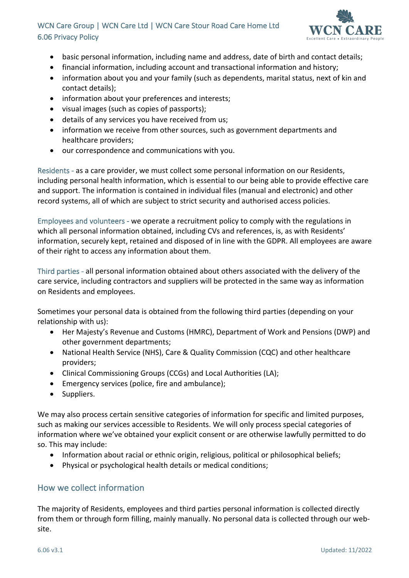## WCN Care Group | WCN Care Ltd | WCN Care Stour Road Care Home Ltd 6.06 Privacy Policy



- basic personal information, including name and address, date of birth and contact details;
- financial information, including account and transactional information and history;
- information about you and your family (such as dependents, marital status, next of kin and contact details);
- information about your preferences and interests;
- visual images (such as copies of passports);
- details of any services you have received from us;
- information we receive from other sources, such as government departments and healthcare providers;
- our correspondence and communications with you.

Residents - as a care provider, we must collect some personal information on our Residents, including personal health information, which is essential to our being able to provide effective care and support. The information is contained in individual files (manual and electronic) and other record systems, all of which are subject to strict security and authorised access policies.

Employees and volunteers - we operate a recruitment policy to comply with the regulations in which all personal information obtained, including CVs and references, is, as with Residents' information, securely kept, retained and disposed of in line with the GDPR. All employees are aware of their right to access any information about them.

Third parties - all personal information obtained about others associated with the delivery of the care service, including contractors and suppliers will be protected in the same way as information on Residents and employees.

Sometimes your personal data is obtained from the following third parties (depending on your relationship with us):

- Her Majesty's Revenue and Customs (HMRC), Department of Work and Pensions (DWP) and other government departments;
- National Health Service (NHS), Care & Quality Commission (CQC) and other healthcare providers;
- Clinical Commissioning Groups (CCGs) and Local Authorities (LA);
- Emergency services (police, fire and ambulance);
- Suppliers.

We may also process certain sensitive categories of information for specific and limited purposes, such as making our services accessible to Residents. We will only process special categories of information where we've obtained your explicit consent or are otherwise lawfully permitted to do so. This may include:

- Information about racial or ethnic origin, religious, political or philosophical beliefs;
- Physical or psychological health details or medical conditions;

#### How we collect information

The majority of Residents, employees and third parties personal information is collected directly from them or through form filling, mainly manually. No personal data is collected through our website.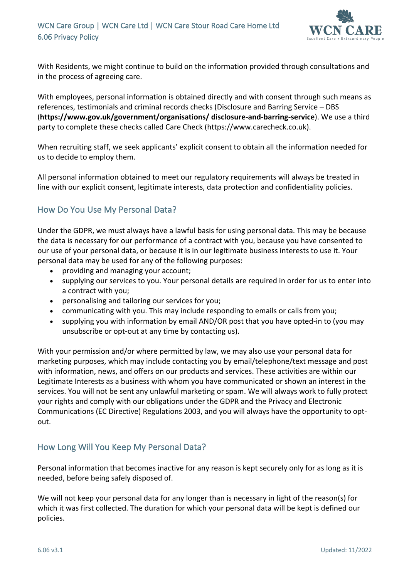

With Residents, we might continue to build on the information provided through consultations and in the process of agreeing care.

With employees, personal information is obtained directly and with consent through such means as references, testimonials and criminal records checks (Disclosure and Barring Service – DBS (**https://www.gov.uk/government/organisations/ disclosure-and-barring-service**). We use a third party to complete these checks called Care Check (https://www.carecheck.co.uk).

When recruiting staff, we seek applicants' explicit consent to obtain all the information needed for us to decide to employ them.

All personal information obtained to meet our regulatory requirements will always be treated in line with our explicit consent, legitimate interests, data protection and confidentiality policies.

# How Do You Use My Personal Data?

Under the GDPR, we must always have a lawful basis for using personal data. This may be because the data is necessary for our performance of a contract with you, because you have consented to our use of your personal data, or because it is in our legitimate business interests to use it. Your personal data may be used for any of the following purposes:

- providing and managing your account;
- supplying our services to you. Your personal details are required in order for us to enter into a contract with you;
- personalising and tailoring our services for you;
- communicating with you. This may include responding to emails or calls from you;
- supplying you with information by email AND/OR post that you have opted-in to (you may unsubscribe or opt-out at any time by contacting us).

With your permission and/or where permitted by law, we may also use your personal data for marketing purposes, which may include contacting you by email/telephone/text message and post with information, news, and offers on our products and services. These activities are within our Legitimate Interests as a business with whom you have communicated or shown an interest in the services. You will not be sent any unlawful marketing or spam. We will always work to fully protect your rights and comply with our obligations under the GDPR and the Privacy and Electronic Communications (EC Directive) Regulations 2003, and you will always have the opportunity to optout.

### How Long Will You Keep My Personal Data?

Personal information that becomes inactive for any reason is kept securely only for as long as it is needed, before being safely disposed of.

We will not keep your personal data for any longer than is necessary in light of the reason(s) for which it was first collected. The duration for which your personal data will be kept is defined our policies.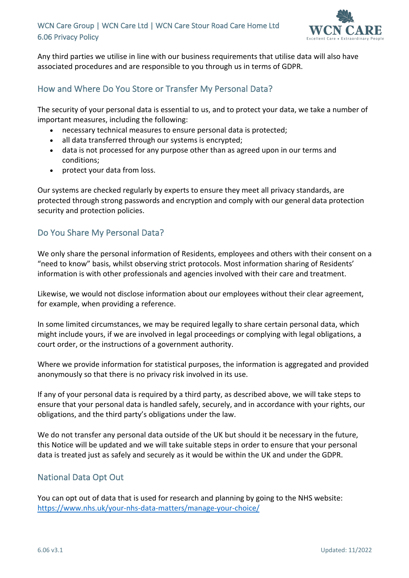

Any third parties we utilise in line with our business requirements that utilise data will also have associated procedures and are responsible to you through us in terms of GDPR.

# How and Where Do You Store or Transfer My Personal Data?

The security of your personal data is essential to us, and to protect your data, we take a number of important measures, including the following:

- necessary technical measures to ensure personal data is protected;
- all data transferred through our systems is encrypted;
- data is not processed for any purpose other than as agreed upon in our terms and conditions;
- protect your data from loss.

Our systems are checked regularly by experts to ensure they meet all privacy standards, are protected through strong passwords and encryption and comply with our general data protection security and protection policies.

### Do You Share My Personal Data?

We only share the personal information of Residents, employees and others with their consent on a "need to know" basis, whilst observing strict protocols. Most information sharing of Residents' information is with other professionals and agencies involved with their care and treatment.

Likewise, we would not disclose information about our employees without their clear agreement, for example, when providing a reference.

In some limited circumstances, we may be required legally to share certain personal data, which might include yours, if we are involved in legal proceedings or complying with legal obligations, a court order, or the instructions of a government authority.

Where we provide information for statistical purposes, the information is aggregated and provided anonymously so that there is no privacy risk involved in its use.

If any of your personal data is required by a third party, as described above, we will take steps to ensure that your personal data is handled safely, securely, and in accordance with your rights, our obligations, and the third party's obligations under the law.

We do not transfer any personal data outside of the UK but should it be necessary in the future, this Notice will be updated and we will take suitable steps in order to ensure that your personal data is treated just as safely and securely as it would be within the UK and under the GDPR.

### National Data Opt Out

You can opt out of data that is used for research and planning by going to the NHS website: https://www.nhs.uk/your-nhs-data-matters/manage-your-choice/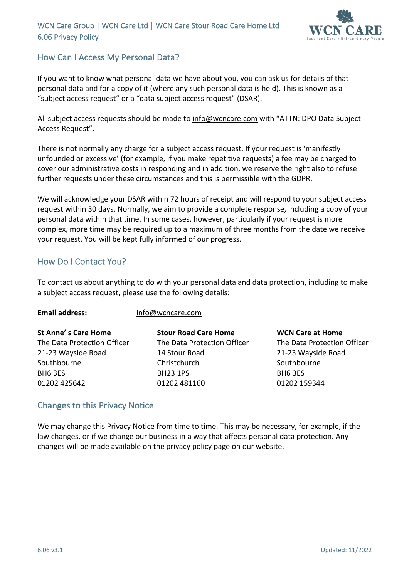WCN Care Group | WCN Care Ltd | WCN Care Stour Road Care Home Ltd 6.06 Privacy Policy



# How Can I Access My Personal Data?

If you want to know what personal data we have about you, you can ask us for details of that personal data and for a copy of it (where any such personal data is held). This is known as a "subject access request" or a "data subject access request" (DSAR).

All subject access requests should be made to info@wcncare.com with "ATTN: DPO Data Subject Access Request".

There is not normally any charge for a subject access request. If your request is 'manifestly unfounded or excessive' (for example, if you make repetitive requests) a fee may be charged to cover our administrative costs in responding and in addition, we reserve the right also to refuse further requests under these circumstances and this is permissible with the GDPR.

We will acknowledge your DSAR within 72 hours of receipt and will respond to your subject access request within 30 days. Normally, we aim to provide a complete response, including a copy of your personal data within that time. In some cases, however, particularly if your request is more complex, more time may be required up to a maximum of three months from the date we receive your request. You will be kept fully informed of our progress.

# How Do I Contact You?

To contact us about anything to do with your personal data and data protection, including to make a subject access request, please use the following details:

| <b>St Anne's Care Home</b>  | <b>Stour Road Care Home</b> | <b>WCN Care at Home</b>     |
|-----------------------------|-----------------------------|-----------------------------|
| The Data Protection Officer | The Data Protection Officer | The Data Protection Officer |
| 21-23 Wayside Road          | 14 Stour Road               | 21-23 Wayside Road          |
| Southbourne                 | Christchurch                | Southbourne                 |
| BH6 3ES                     | <b>BH23 1PS</b>             | BH6 3ES                     |
| 01202 425642                | 01202 481160                | 01202 159344                |

### Changes to this Privacy Notice

**Email address:** info@wcncare.com

We may change this Privacy Notice from time to time. This may be necessary, for example, if the law changes, or if we change our business in a way that affects personal data protection. Any changes will be made available on the privacy policy page on our website.